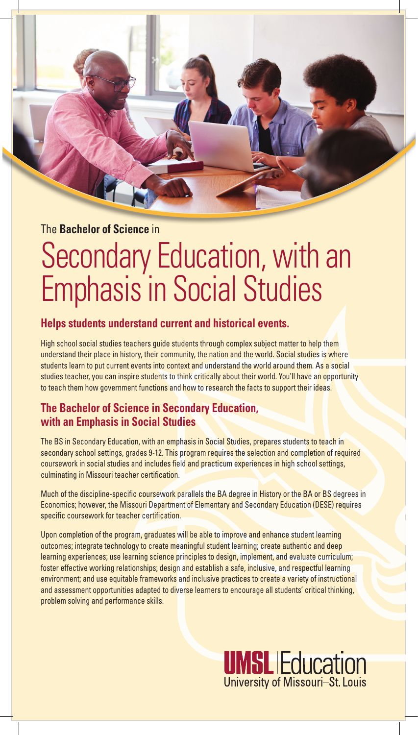The **Bachelor of Science** in

# Secondary Education, with an Emphasis in Social Studies

## **Helps students understand current and historical events.**

High school social studies teachers quide students through complex subject matter to help them understand their place in history, their community, the nation and the world. Social studies is where students learn to put current events into context and understand the world around them. As a social studies teacher, you can inspire students to think critically about their world. You'll have an opportunity to teach them how government functions and how to research the facts to support their ideas.

## **The Bachelor of Science in Secondary Education, with an Emphasis in Social Studies**

The BS in Secondary Education, with an emphasis in Social Studies, prepares students to teach in secondary school settings, grades 9-12. This program requires the selection and completion of required coursework in social studies and includes field and practicum experiences in high school settings, culminating in Missouri teacher certification.

Much of the discipline-specific coursework parallels the BA degree in History or the BA or BS degrees in Economics; however, the Missouri Department of Elementary and Secondary Education (DESE) requires specific coursework for teacher certification.

Upon completion of the program, graduates will be able to improve and enhance student learning outcomes; integrate technology to create meaningful student learning; create authentic and deep learning experiences; use learning science principles to design, implement, and evaluate curriculum; foster effective working relationships; design and establish a safe, inclusive, and respectful learning environment; and use equitable frameworks and inclusive practices to create a variety of instructional and assessment opportunities adapted to diverse learners to encourage all students' critical thinking, problem solving and performance skills.